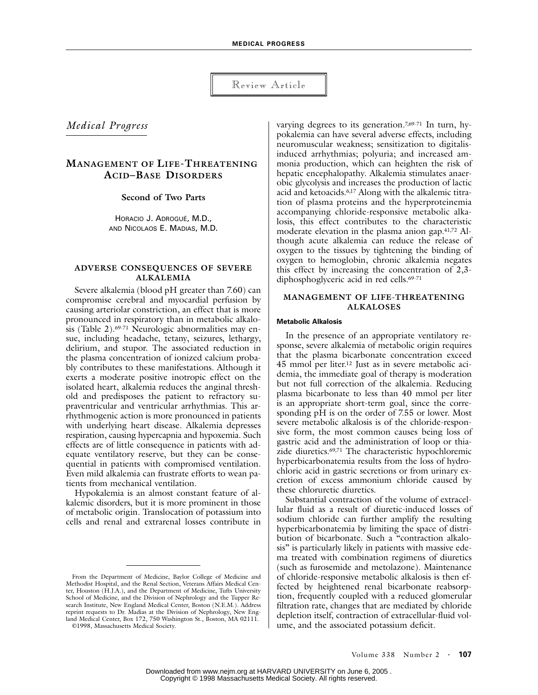Review Article

*Medical Progress*

# **MANAGEMENT OF LIFE-THREATENING ACID–BASE DISORDERS**

**Second of Two Parts**

HORACIO J. ADROGUÉ, M.D., AND NICOLAOS E. MADIAS, M.D.

## **ADVERSE CONSEQUENCES OF SEVERE ALKALEMIA**

Severe alkalemia (blood pH greater than 7.60) can compromise cerebral and myocardial perfusion by causing arteriolar constriction, an effect that is more pronounced in respiratory than in metabolic alkalosis (Table 2).69-71 Neurologic abnormalities may ensue, including headache, tetany, seizures, lethargy, delirium, and stupor. The associated reduction in the plasma concentration of ionized calcium probably contributes to these manifestations. Although it exerts a moderate positive inotropic effect on the isolated heart, alkalemia reduces the anginal threshold and predisposes the patient to refractory supraventricular and ventricular arrhythmias. This arrhythmogenic action is more pronounced in patients with underlying heart disease. Alkalemia depresses respiration, causing hypercapnia and hypoxemia. Such effects are of little consequence in patients with adequate ventilatory reserve, but they can be consequential in patients with compromised ventilation. Even mild alkalemia can frustrate efforts to wean patients from mechanical ventilation.

Hypokalemia is an almost constant feature of alkalemic disorders, but it is more prominent in those of metabolic origin. Translocation of potassium into cells and renal and extrarenal losses contribute in

©1998, Massachusetts Medical Society.

varying degrees to its generation.<sup>7,69-71</sup> In turn, hypokalemia can have several adverse effects, including neuromuscular weakness; sensitization to digitalisinduced arrhythmias; polyuria; and increased ammonia production, which can heighten the risk of hepatic encephalopathy. Alkalemia stimulates anaerobic glycolysis and increases the production of lactic acid and ketoacids.6,17 Along with the alkalemic titration of plasma proteins and the hyperproteinemia accompanying chloride-responsive metabolic alkalosis, this effect contributes to the characteristic moderate elevation in the plasma anion gap.41,72 Although acute alkalemia can reduce the release of oxygen to the tissues by tightening the binding of oxygen to hemoglobin, chronic alkalemia negates this effect by increasing the concentration of 2,3 diphosphoglyceric acid in red cells.<sup>69-71</sup>

## **MANAGEMENT OF LIFE-THREATENING ALKALOSES**

#### **Metabolic Alkalosis**

In the presence of an appropriate ventilatory response, severe alkalemia of metabolic origin requires that the plasma bicarbonate concentration exceed 45 mmol per liter.12 Just as in severe metabolic acidemia, the immediate goal of therapy is moderation but not full correction of the alkalemia. Reducing plasma bicarbonate to less than 40 mmol per liter is an appropriate short-term goal, since the corresponding pH is on the order of 7.55 or lower. Most severe metabolic alkalosis is of the chloride-responsive form, the most common causes being loss of gastric acid and the administration of loop or thiazide diuretics.69,71 The characteristic hypochloremic hyperbicarbonatemia results from the loss of hydrochloric acid in gastric secretions or from urinary excretion of excess ammonium chloride caused by these chloruretic diuretics.

Substantial contraction of the volume of extracellular fluid as a result of diuretic-induced losses of sodium chloride can further amplify the resulting hyperbicarbonatemia by limiting the space of distribution of bicarbonate. Such a "contraction alkalosis" is particularly likely in patients with massive edema treated with combination regimens of diuretics (such as furosemide and metolazone). Maintenance of chloride-responsive metabolic alkalosis is then effected by heightened renal bicarbonate reabsorption, frequently coupled with a reduced glomerular filtration rate, changes that are mediated by chloride depletion itself, contraction of extracellular-fluid volume, and the associated potassium deficit.

From the Department of Medicine, Baylor College of Medicine and Methodist Hospital, and the Renal Section, Veterans Affairs Medical Center, Houston  $(\hat{H}J.A.)$ , and the Department of Medicine, Tufts University School of Medicine, and the Division of Nephrology and the Tupper Research Institute, New England Medical Center, Boston (N.E.M.). Address reprint requests to Dr. Madias at the Division of Nephrology, New England Medical Center, Box 172, 750 Washington St., Boston, MA 02111.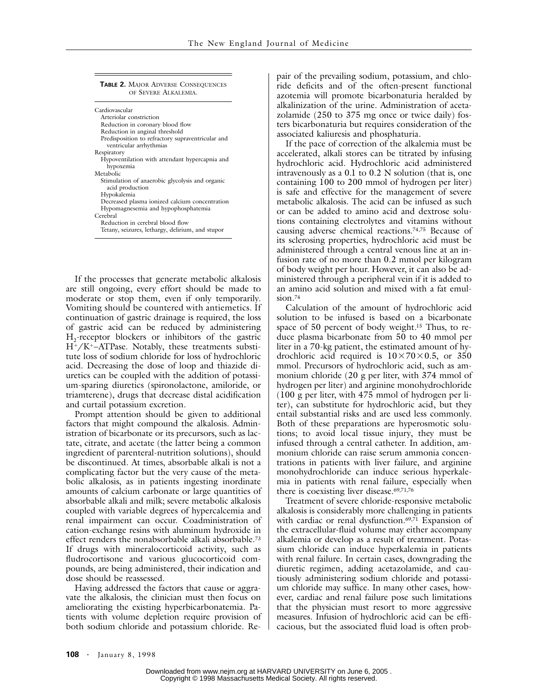| <b>TABLE 2. MAJOR ADVERSE CONSEQUENCES</b><br>OF SEVERE ALKALEMIA            |
|------------------------------------------------------------------------------|
| Cardiovascular                                                               |
| Arteriolar constriction                                                      |
| Reduction in coronary blood flow                                             |
| Reduction in anginal threshold                                               |
| Predisposition to refractory supraventricular and<br>ventricular arrhythmias |
| Respiratory                                                                  |
| Hypoventilation with attendant hypercapnia and<br>hypoxemia                  |
| Metabolic                                                                    |
| Stimulation of anaerobic glycolysis and organic<br>acid production           |
| Hypokalemia                                                                  |
| Decreased plasma ionized calcium concentration                               |
| Hypomagnesemia and hypophosphatemia                                          |
| Cerebral                                                                     |
| Reduction in cerebral blood flow                                             |
| Tetany, seizures, lethargy, delirium, and stupor                             |

If the processes that generate metabolic alkalosis are still ongoing, every effort should be made to moderate or stop them, even if only temporarily. Vomiting should be countered with antiemetics. If continuation of gastric drainage is required, the loss of gastric acid can be reduced by administering  $H_2$ -receptor blockers or inhibitors of the gastric H-/K-–ATPase. Notably, these treatments substitute loss of sodium chloride for loss of hydrochloric acid. Decreasing the dose of loop and thiazide diuretics can be coupled with the addition of potassium-sparing diuretics (spironolactone, amiloride, or triamterene), drugs that decrease distal acidification and curtail potassium excretion.

Prompt attention should be given to additional factors that might compound the alkalosis. Administration of bicarbonate or its precursors, such as lactate, citrate, and acetate (the latter being a common ingredient of parenteral-nutrition solutions), should be discontinued. At times, absorbable alkali is not a complicating factor but the very cause of the metabolic alkalosis, as in patients ingesting inordinate amounts of calcium carbonate or large quantities of absorbable alkali and milk; severe metabolic alkalosis coupled with variable degrees of hypercalcemia and renal impairment can occur. Coadministration of cation-exchange resins with aluminum hydroxide in effect renders the nonabsorbable alkali absorbable.73 If drugs with mineralocorticoid activity, such as fludrocortisone and various glucocorticoid compounds, are being administered, their indication and dose should be reassessed.

Having addressed the factors that cause or aggravate the alkalosis, the clinician must then focus on ameliorating the existing hyperbicarbonatemia. Patients with volume depletion require provision of both sodium chloride and potassium chloride. Repair of the prevailing sodium, potassium, and chloride deficits and of the often-present functional azotemia will promote bicarbonaturia heralded by alkalinization of the urine. Administration of acetazolamide (250 to 375 mg once or twice daily) fosters bicarbonaturia but requires consideration of the associated kaliuresis and phosphaturia.

If the pace of correction of the alkalemia must be accelerated, alkali stores can be titrated by infusing hydrochloric acid. Hydrochloric acid administered intravenously as a 0.1 to 0.2 N solution (that is, one containing 100 to 200 mmol of hydrogen per liter) is safe and effective for the management of severe metabolic alkalosis. The acid can be infused as such or can be added to amino acid and dextrose solutions containing electrolytes and vitamins without causing adverse chemical reactions.74,75 Because of its sclerosing properties, hydrochloric acid must be administered through a central venous line at an infusion rate of no more than 0.2 mmol per kilogram of body weight per hour. However, it can also be administered through a peripheral vein if it is added to an amino acid solution and mixed with a fat emulsion.<sup>74</sup>

Calculation of the amount of hydrochloric acid solution to be infused is based on a bicarbonate space of 50 percent of body weight.15 Thus, to reduce plasma bicarbonate from 50 to 40 mmol per liter in a 70-kg patient, the estimated amount of hydrochloric acid required is  $10\times70\times0.5$ , or 350 mmol. Precursors of hydrochloric acid, such as ammonium chloride (20 g per liter, with 374 mmol of hydrogen per liter) and arginine monohydrochloride (100 g per liter, with 475 mmol of hydrogen per liter), can substitute for hydrochloric acid, but they entail substantial risks and are used less commonly. Both of these preparations are hyperosmotic solutions; to avoid local tissue injury, they must be infused through a central catheter. In addition, ammonium chloride can raise serum ammonia concentrations in patients with liver failure, and arginine monohydrochloride can induce serious hyperkalemia in patients with renal failure, especially when there is coexisting liver disease.<sup>69,71,76</sup>

Treatment of severe chloride-responsive metabolic alkalosis is considerably more challenging in patients with cardiac or renal dysfunction.<sup>69,71</sup> Expansion of the extracellular-fluid volume may either accompany alkalemia or develop as a result of treatment. Potassium chloride can induce hyperkalemia in patients with renal failure. In certain cases, downgrading the diuretic regimen, adding acetazolamide, and cautiously administering sodium chloride and potassium chloride may suffice. In many other cases, however, cardiac and renal failure pose such limitations that the physician must resort to more aggressive measures. Infusion of hydrochloric acid can be efficacious, but the associated fluid load is often prob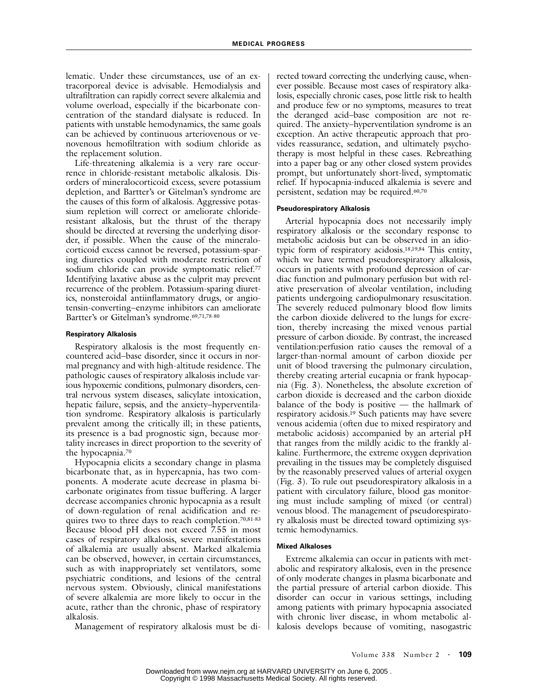lematic. Under these circumstances, use of an extracorporeal device is advisable. Hemodialysis and ultrafiltration can rapidly correct severe alkalemia and volume overload, especially if the bicarbonate concentration of the standard dialysate is reduced. In patients with unstable hemodynamics, the same goals can be achieved by continuous arteriovenous or venovenous hemofiltration with sodium chloride as the replacement solution.

Life-threatening alkalemia is a very rare occurrence in chloride-resistant metabolic alkalosis. Disorders of mineralocorticoid excess, severe potassium depletion, and Bartter's or Gitelman's syndrome are the causes of this form of alkalosis. Aggressive potassium repletion will correct or ameliorate chlorideresistant alkalosis, but the thrust of the therapy should be directed at reversing the underlying disorder, if possible. When the cause of the mineralocorticoid excess cannot be reversed, potassium-sparing diuretics coupled with moderate restriction of sodium chloride can provide symptomatic relief.77 Identifying laxative abuse as the culprit may prevent recurrence of the problem. Potassium-sparing diuretics, nonsteroidal antiinflammatory drugs, or angiotensin-converting–enzyme inhibitors can ameliorate Bartter's or Gitelman's syndrome.69,71,78-80

#### **Respiratory Alkalosis**

Respiratory alkalosis is the most frequently encountered acid–base disorder, since it occurs in normal pregnancy and with high-altitude residence. The pathologic causes of respiratory alkalosis include various hypoxemic conditions, pulmonary disorders, central nervous system diseases, salicylate intoxication, hepatic failure, sepsis, and the anxiety–hyperventilation syndrome. Respiratory alkalosis is particularly prevalent among the critically ill; in these patients, its presence is a bad prognostic sign, because mortality increases in direct proportion to the severity of the hypocapnia.70

Hypocapnia elicits a secondary change in plasma bicarbonate that, as in hypercapnia, has two components. A moderate acute decrease in plasma bicarbonate originates from tissue buffering. A larger decrease accompanies chronic hypocapnia as a result of down-regulation of renal acidification and requires two to three days to reach completion.<sup>70,81-83</sup> Because blood pH does not exceed 7.55 in most cases of respiratory alkalosis, severe manifestations of alkalemia are usually absent. Marked alkalemia can be observed, however, in certain circumstances, such as with inappropriately set ventilators, some psychiatric conditions, and lesions of the central nervous system. Obviously, clinical manifestations of severe alkalemia are more likely to occur in the acute, rather than the chronic, phase of respiratory alkalosis.

Management of respiratory alkalosis must be di-

rected toward correcting the underlying cause, whenever possible. Because most cases of respiratory alkalosis, especially chronic cases, pose little risk to health and produce few or no symptoms, measures to treat the deranged acid–base composition are not required. The anxiety–hyperventilation syndrome is an exception. An active therapeutic approach that provides reassurance, sedation, and ultimately psychotherapy is most helpful in these cases. Rebreathing into a paper bag or any other closed system provides prompt, but unfortunately short-lived, symptomatic relief. If hypocapnia-induced alkalemia is severe and persistent, sedation may be required.60,70

#### **Pseudorespiratory Alkalosis**

Arterial hypocapnia does not necessarily imply respiratory alkalosis or the secondary response to metabolic acidosis but can be observed in an idiotypic form of respiratory acidosis.18,19,84 This entity, which we have termed pseudorespiratory alkalosis, occurs in patients with profound depression of cardiac function and pulmonary perfusion but with relative preservation of alveolar ventilation, including patients undergoing cardiopulmonary resuscitation. The severely reduced pulmonary blood flow limits the carbon dioxide delivered to the lungs for excretion, thereby increasing the mixed venous partial pressure of carbon dioxide. By contrast, the increased ventilation:perfusion ratio causes the removal of a larger-than-normal amount of carbon dioxide per unit of blood traversing the pulmonary circulation, thereby creating arterial eucapnia or frank hypocapnia (Fig. 3). Nonetheless, the absolute excretion of carbon dioxide is decreased and the carbon dioxide balance of the body is positive — the hallmark of respiratory acidosis.19 Such patients may have severe venous acidemia (often due to mixed respiratory and metabolic acidosis) accompanied by an arterial pH that ranges from the mildly acidic to the frankly alkaline. Furthermore, the extreme oxygen deprivation prevailing in the tissues may be completely disguised by the reasonably preserved values of arterial oxygen (Fig. 3). To rule out pseudorespiratory alkalosis in a patient with circulatory failure, blood gas monitoring must include sampling of mixed (or central) venous blood. The management of pseudorespiratory alkalosis must be directed toward optimizing systemic hemodynamics.

#### **Mixed Alkaloses**

Extreme alkalemia can occur in patients with metabolic and respiratory alkalosis, even in the presence of only moderate changes in plasma bicarbonate and the partial pressure of arterial carbon dioxide. This disorder can occur in various settings, including among patients with primary hypocapnia associated with chronic liver disease, in whom metabolic alkalosis develops because of vomiting, nasogastric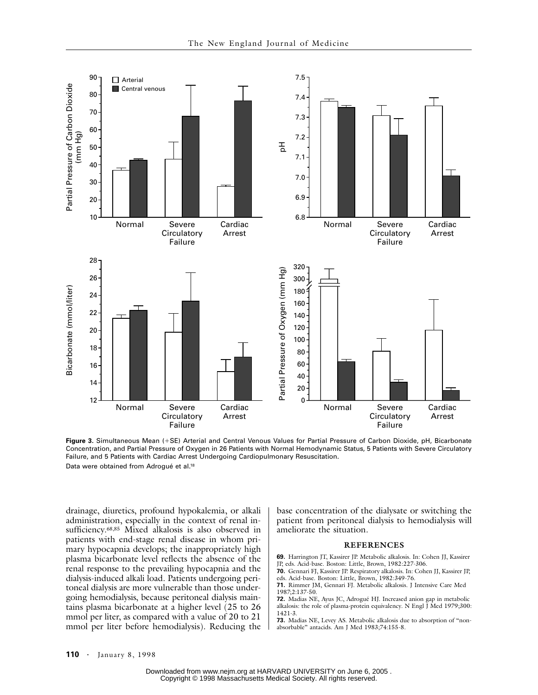

**Figure 3.** Simultaneous Mean (+SE) Arterial and Central Venous Values for Partial Pressure of Carbon Dioxide, pH, Bicarbonate Concentration, and Partial Pressure of Oxygen in 26 Patients with Normal Hemodynamic Status, 5 Patients with Severe Circulatory Failure, and 5 Patients with Cardiac Arrest Undergoing Cardiopulmonary Resuscitation. Data were obtained from Adrogué et al.18

drainage, diuretics, profound hypokalemia, or alkali administration, especially in the context of renal insufficiency.68,85 Mixed alkalosis is also observed in patients with end-stage renal disease in whom primary hypocapnia develops; the inappropriately high plasma bicarbonate level reflects the absence of the renal response to the prevailing hypocapnia and the dialysis-induced alkali load. Patients undergoing peritoneal dialysis are more vulnerable than those undergoing hemodialysis, because peritoneal dialysis maintains plasma bicarbonate at a higher level (25 to 26 mmol per liter, as compared with a value of 20 to 21 mmol per liter before hemodialysis). Reducing the base concentration of the dialysate or switching the patient from peritoneal dialysis to hemodialysis will ameliorate the situation.

### **REFERENCES**

**69.** Harrington JT, Kassirer JP. Metabolic alkalosis. In: Cohen JJ, Kassirer JP, eds. Acid-base. Boston: Little, Brown, 1982:227-306.

**70.** Gennari FJ, Kassirer JP. Respiratory alkalosis. In: Cohen JJ, Kassirer JP, eds. Acid-base. Boston: Little, Brown, 1982:349-76.

**71.** Rimmer JM, Gennari FJ. Metabolic alkalosis. J Intensive Care Med 1987;2:137-50.

**72.** Madias NE, Ayus JC, Adrogué HJ. Increased anion gap in metabolic alkalosis: the role of plasma-protein equivalency. N Engl J Med 1979;300: 1421-3.

**73.** Madias NE, Levey AS. Metabolic alkalosis due to absorption of "nonabsorbable" antacids. Am J Med 1983;74:155-8.